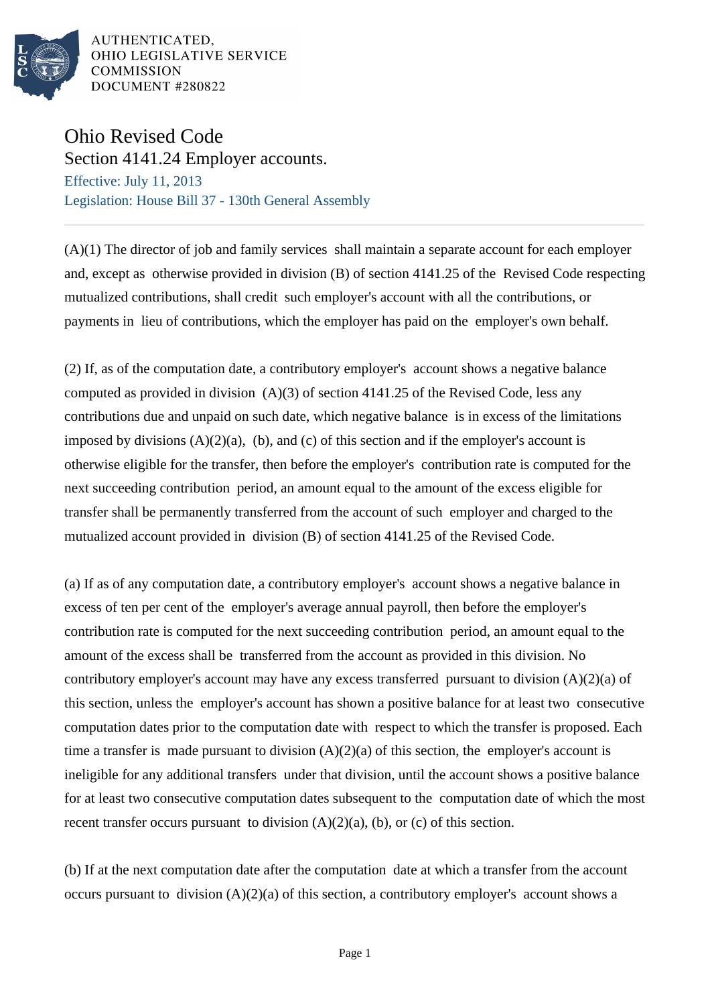

# Ohio Revised Code

Section 4141.24 Employer accounts. Effective: July 11, 2013 Legislation: House Bill 37 - 130th General Assembly

(A)(1) The director of job and family services shall maintain a separate account for each employer and, except as otherwise provided in division (B) of section 4141.25 of the Revised Code respecting mutualized contributions, shall credit such employer's account with all the contributions, or payments in lieu of contributions, which the employer has paid on the employer's own behalf.

(2) If, as of the computation date, a contributory employer's account shows a negative balance computed as provided in division (A)(3) of section 4141.25 of the Revised Code, less any contributions due and unpaid on such date, which negative balance is in excess of the limitations imposed by divisions  $(A)(2)(a)$ ,  $(b)$ , and  $(c)$  of this section and if the employer's account is otherwise eligible for the transfer, then before the employer's contribution rate is computed for the next succeeding contribution period, an amount equal to the amount of the excess eligible for transfer shall be permanently transferred from the account of such employer and charged to the mutualized account provided in division (B) of section 4141.25 of the Revised Code.

(a) If as of any computation date, a contributory employer's account shows a negative balance in excess of ten per cent of the employer's average annual payroll, then before the employer's contribution rate is computed for the next succeeding contribution period, an amount equal to the amount of the excess shall be transferred from the account as provided in this division. No contributory employer's account may have any excess transferred pursuant to division  $(A)(2)(a)$  of this section, unless the employer's account has shown a positive balance for at least two consecutive computation dates prior to the computation date with respect to which the transfer is proposed. Each time a transfer is made pursuant to division  $(A)(2)(a)$  of this section, the employer's account is ineligible for any additional transfers under that division, until the account shows a positive balance for at least two consecutive computation dates subsequent to the computation date of which the most recent transfer occurs pursuant to division  $(A)(2)(a)$ ,  $(b)$ , or  $(c)$  of this section.

(b) If at the next computation date after the computation date at which a transfer from the account occurs pursuant to division (A)(2)(a) of this section, a contributory employer's account shows a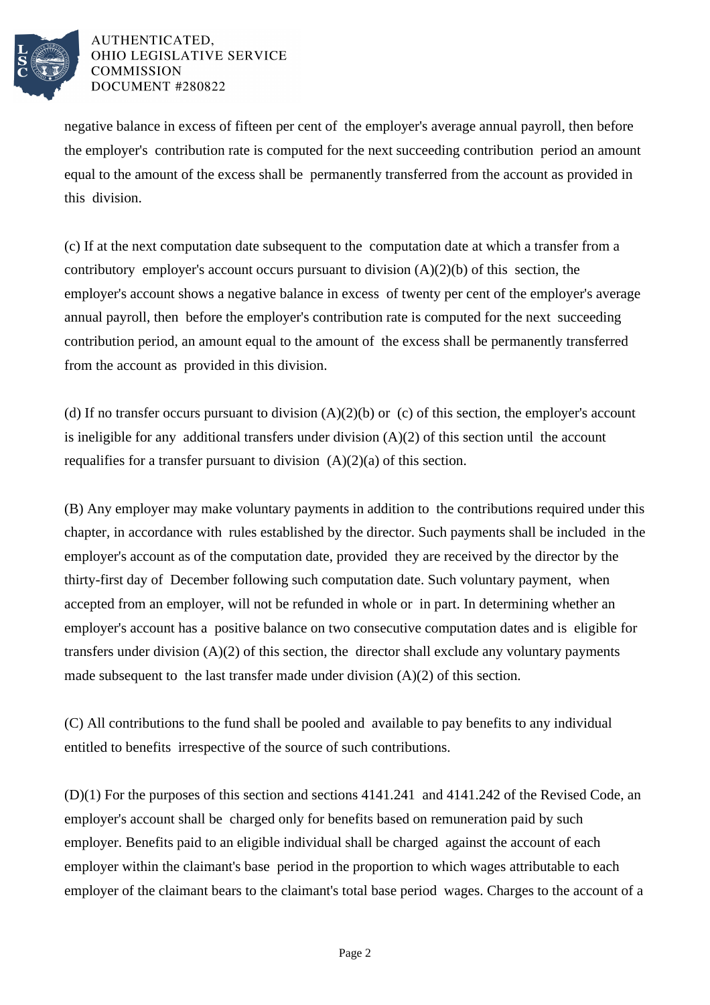

negative balance in excess of fifteen per cent of the employer's average annual payroll, then before the employer's contribution rate is computed for the next succeeding contribution period an amount equal to the amount of the excess shall be permanently transferred from the account as provided in this division.

(c) If at the next computation date subsequent to the computation date at which a transfer from a contributory employer's account occurs pursuant to division  $(A)(2)(b)$  of this section, the employer's account shows a negative balance in excess of twenty per cent of the employer's average annual payroll, then before the employer's contribution rate is computed for the next succeeding contribution period, an amount equal to the amount of the excess shall be permanently transferred from the account as provided in this division.

(d) If no transfer occurs pursuant to division  $(A)(2)(b)$  or (c) of this section, the employer's account is ineligible for any additional transfers under division  $(A)(2)$  of this section until the account requalifies for a transfer pursuant to division  $(A)(2)(a)$  of this section.

(B) Any employer may make voluntary payments in addition to the contributions required under this chapter, in accordance with rules established by the director. Such payments shall be included in the employer's account as of the computation date, provided they are received by the director by the thirty-first day of December following such computation date. Such voluntary payment, when accepted from an employer, will not be refunded in whole or in part. In determining whether an employer's account has a positive balance on two consecutive computation dates and is eligible for transfers under division  $(A)(2)$  of this section, the director shall exclude any voluntary payments made subsequent to the last transfer made under division (A)(2) of this section.

(C) All contributions to the fund shall be pooled and available to pay benefits to any individual entitled to benefits irrespective of the source of such contributions.

(D)(1) For the purposes of this section and sections 4141.241 and 4141.242 of the Revised Code, an employer's account shall be charged only for benefits based on remuneration paid by such employer. Benefits paid to an eligible individual shall be charged against the account of each employer within the claimant's base period in the proportion to which wages attributable to each employer of the claimant bears to the claimant's total base period wages. Charges to the account of a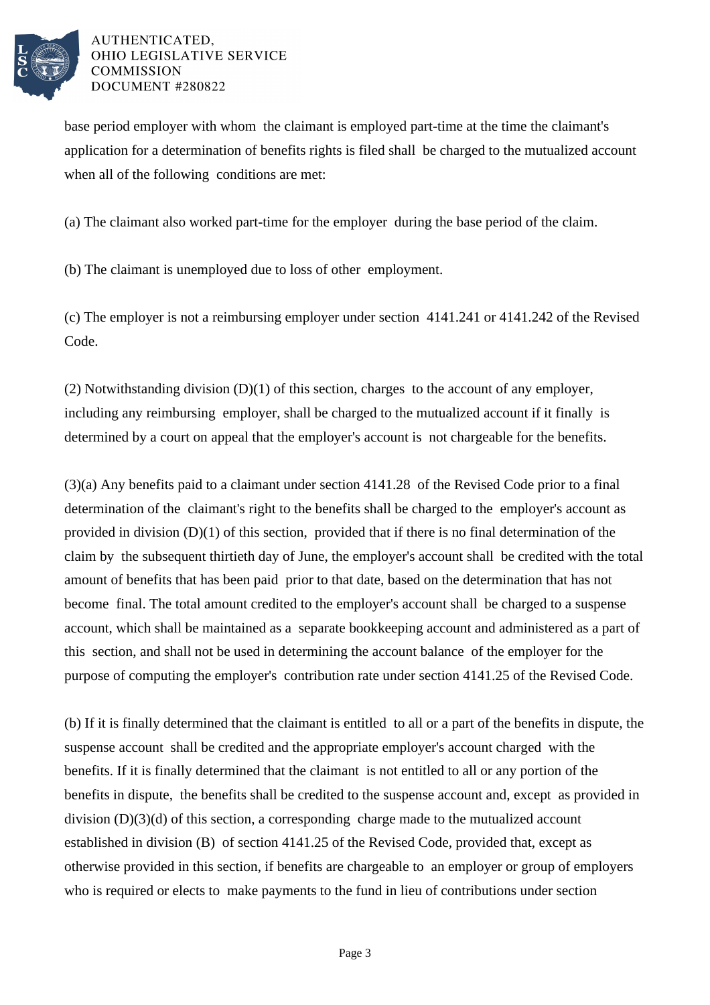

base period employer with whom the claimant is employed part-time at the time the claimant's application for a determination of benefits rights is filed shall be charged to the mutualized account when all of the following conditions are met:

(a) The claimant also worked part-time for the employer during the base period of the claim.

(b) The claimant is unemployed due to loss of other employment.

(c) The employer is not a reimbursing employer under section 4141.241 or 4141.242 of the Revised Code.

(2) Notwithstanding division (D)(1) of this section, charges to the account of any employer, including any reimbursing employer, shall be charged to the mutualized account if it finally is determined by a court on appeal that the employer's account is not chargeable for the benefits.

(3)(a) Any benefits paid to a claimant under section 4141.28 of the Revised Code prior to a final determination of the claimant's right to the benefits shall be charged to the employer's account as provided in division (D)(1) of this section, provided that if there is no final determination of the claim by the subsequent thirtieth day of June, the employer's account shall be credited with the total amount of benefits that has been paid prior to that date, based on the determination that has not become final. The total amount credited to the employer's account shall be charged to a suspense account, which shall be maintained as a separate bookkeeping account and administered as a part of this section, and shall not be used in determining the account balance of the employer for the purpose of computing the employer's contribution rate under section 4141.25 of the Revised Code.

(b) If it is finally determined that the claimant is entitled to all or a part of the benefits in dispute, the suspense account shall be credited and the appropriate employer's account charged with the benefits. If it is finally determined that the claimant is not entitled to all or any portion of the benefits in dispute, the benefits shall be credited to the suspense account and, except as provided in division (D)(3)(d) of this section, a corresponding charge made to the mutualized account established in division (B) of section 4141.25 of the Revised Code, provided that, except as otherwise provided in this section, if benefits are chargeable to an employer or group of employers who is required or elects to make payments to the fund in lieu of contributions under section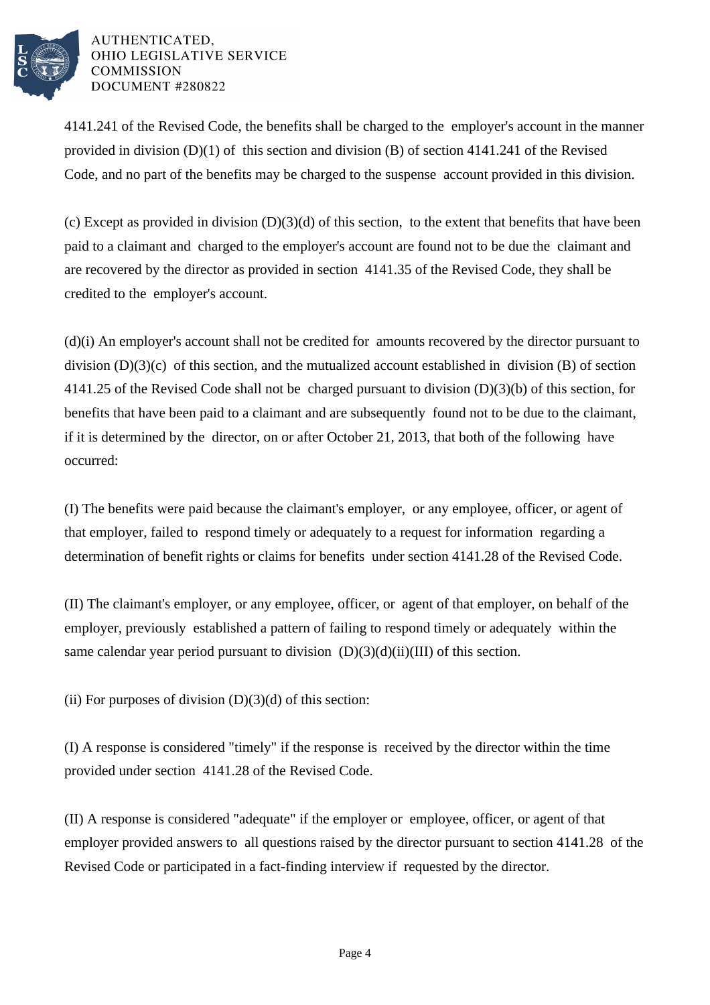

4141.241 of the Revised Code, the benefits shall be charged to the employer's account in the manner provided in division (D)(1) of this section and division (B) of section 4141.241 of the Revised Code, and no part of the benefits may be charged to the suspense account provided in this division.

(c) Except as provided in division  $(D)(3)(d)$  of this section, to the extent that benefits that have been paid to a claimant and charged to the employer's account are found not to be due the claimant and are recovered by the director as provided in section 4141.35 of the Revised Code, they shall be credited to the employer's account.

(d)(i) An employer's account shall not be credited for amounts recovered by the director pursuant to division (D)(3)(c) of this section, and the mutualized account established in division (B) of section 4141.25 of the Revised Code shall not be charged pursuant to division (D)(3)(b) of this section, for benefits that have been paid to a claimant and are subsequently found not to be due to the claimant, if it is determined by the director, on or after October 21, 2013, that both of the following have occurred:

(I) The benefits were paid because the claimant's employer, or any employee, officer, or agent of that employer, failed to respond timely or adequately to a request for information regarding a determination of benefit rights or claims for benefits under section 4141.28 of the Revised Code.

(II) The claimant's employer, or any employee, officer, or agent of that employer, on behalf of the employer, previously established a pattern of failing to respond timely or adequately within the same calendar year period pursuant to division  $(D)(3)(d)(ii)(III)$  of this section.

(ii) For purposes of division  $(D)(3)(d)$  of this section:

(I) A response is considered "timely" if the response is received by the director within the time provided under section 4141.28 of the Revised Code.

(II) A response is considered "adequate" if the employer or employee, officer, or agent of that employer provided answers to all questions raised by the director pursuant to section 4141.28 of the Revised Code or participated in a fact-finding interview if requested by the director.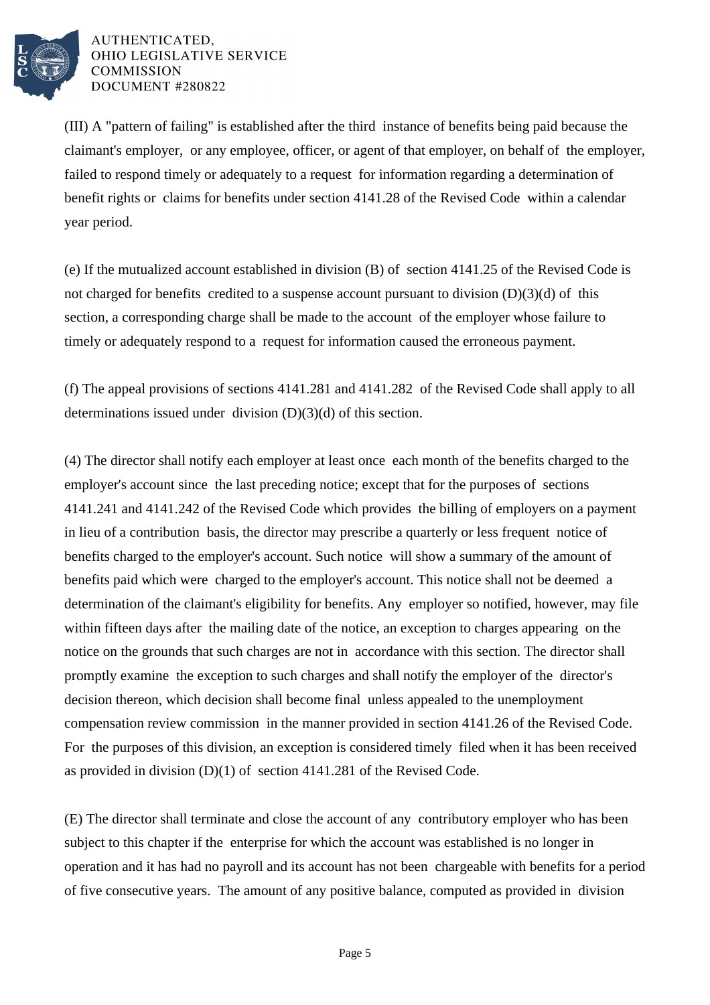

(III) A "pattern of failing" is established after the third instance of benefits being paid because the claimant's employer, or any employee, officer, or agent of that employer, on behalf of the employer, failed to respond timely or adequately to a request for information regarding a determination of benefit rights or claims for benefits under section 4141.28 of the Revised Code within a calendar year period.

(e) If the mutualized account established in division (B) of section 4141.25 of the Revised Code is not charged for benefits credited to a suspense account pursuant to division (D)(3)(d) of this section, a corresponding charge shall be made to the account of the employer whose failure to timely or adequately respond to a request for information caused the erroneous payment.

(f) The appeal provisions of sections 4141.281 and 4141.282 of the Revised Code shall apply to all determinations issued under division (D)(3)(d) of this section.

(4) The director shall notify each employer at least once each month of the benefits charged to the employer's account since the last preceding notice; except that for the purposes of sections 4141.241 and 4141.242 of the Revised Code which provides the billing of employers on a payment in lieu of a contribution basis, the director may prescribe a quarterly or less frequent notice of benefits charged to the employer's account. Such notice will show a summary of the amount of benefits paid which were charged to the employer's account. This notice shall not be deemed a determination of the claimant's eligibility for benefits. Any employer so notified, however, may file within fifteen days after the mailing date of the notice, an exception to charges appearing on the notice on the grounds that such charges are not in accordance with this section. The director shall promptly examine the exception to such charges and shall notify the employer of the director's decision thereon, which decision shall become final unless appealed to the unemployment compensation review commission in the manner provided in section 4141.26 of the Revised Code. For the purposes of this division, an exception is considered timely filed when it has been received as provided in division (D)(1) of section 4141.281 of the Revised Code.

(E) The director shall terminate and close the account of any contributory employer who has been subject to this chapter if the enterprise for which the account was established is no longer in operation and it has had no payroll and its account has not been chargeable with benefits for a period of five consecutive years. The amount of any positive balance, computed as provided in division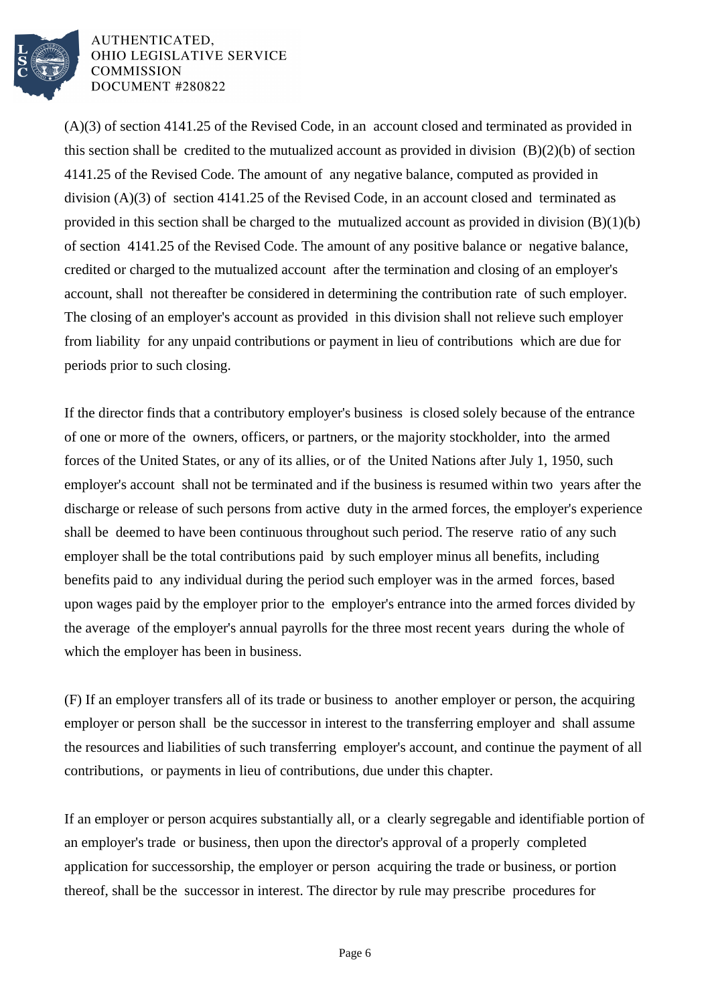

(A)(3) of section 4141.25 of the Revised Code, in an account closed and terminated as provided in this section shall be credited to the mutualized account as provided in division (B)(2)(b) of section 4141.25 of the Revised Code. The amount of any negative balance, computed as provided in division (A)(3) of section 4141.25 of the Revised Code, in an account closed and terminated as provided in this section shall be charged to the mutualized account as provided in division  $(B)(1)(b)$ of section 4141.25 of the Revised Code. The amount of any positive balance or negative balance, credited or charged to the mutualized account after the termination and closing of an employer's account, shall not thereafter be considered in determining the contribution rate of such employer. The closing of an employer's account as provided in this division shall not relieve such employer from liability for any unpaid contributions or payment in lieu of contributions which are due for periods prior to such closing.

If the director finds that a contributory employer's business is closed solely because of the entrance of one or more of the owners, officers, or partners, or the majority stockholder, into the armed forces of the United States, or any of its allies, or of the United Nations after July 1, 1950, such employer's account shall not be terminated and if the business is resumed within two years after the discharge or release of such persons from active duty in the armed forces, the employer's experience shall be deemed to have been continuous throughout such period. The reserve ratio of any such employer shall be the total contributions paid by such employer minus all benefits, including benefits paid to any individual during the period such employer was in the armed forces, based upon wages paid by the employer prior to the employer's entrance into the armed forces divided by the average of the employer's annual payrolls for the three most recent years during the whole of which the employer has been in business.

(F) If an employer transfers all of its trade or business to another employer or person, the acquiring employer or person shall be the successor in interest to the transferring employer and shall assume the resources and liabilities of such transferring employer's account, and continue the payment of all contributions, or payments in lieu of contributions, due under this chapter.

If an employer or person acquires substantially all, or a clearly segregable and identifiable portion of an employer's trade or business, then upon the director's approval of a properly completed application for successorship, the employer or person acquiring the trade or business, or portion thereof, shall be the successor in interest. The director by rule may prescribe procedures for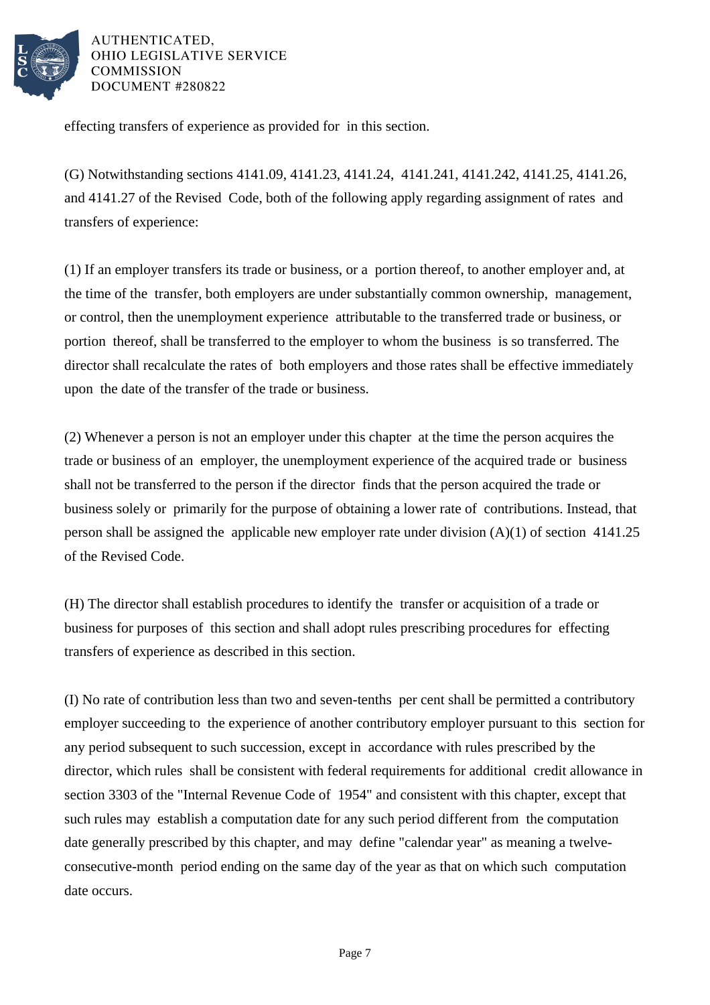

effecting transfers of experience as provided for in this section.

(G) Notwithstanding sections 4141.09, 4141.23, 4141.24, 4141.241, 4141.242, 4141.25, 4141.26, and 4141.27 of the Revised Code, both of the following apply regarding assignment of rates and transfers of experience:

(1) If an employer transfers its trade or business, or a portion thereof, to another employer and, at the time of the transfer, both employers are under substantially common ownership, management, or control, then the unemployment experience attributable to the transferred trade or business, or portion thereof, shall be transferred to the employer to whom the business is so transferred. The director shall recalculate the rates of both employers and those rates shall be effective immediately upon the date of the transfer of the trade or business.

(2) Whenever a person is not an employer under this chapter at the time the person acquires the trade or business of an employer, the unemployment experience of the acquired trade or business shall not be transferred to the person if the director finds that the person acquired the trade or business solely or primarily for the purpose of obtaining a lower rate of contributions. Instead, that person shall be assigned the applicable new employer rate under division (A)(1) of section 4141.25 of the Revised Code.

(H) The director shall establish procedures to identify the transfer or acquisition of a trade or business for purposes of this section and shall adopt rules prescribing procedures for effecting transfers of experience as described in this section.

(I) No rate of contribution less than two and seven-tenths per cent shall be permitted a contributory employer succeeding to the experience of another contributory employer pursuant to this section for any period subsequent to such succession, except in accordance with rules prescribed by the director, which rules shall be consistent with federal requirements for additional credit allowance in section 3303 of the "Internal Revenue Code of 1954" and consistent with this chapter, except that such rules may establish a computation date for any such period different from the computation date generally prescribed by this chapter, and may define "calendar year" as meaning a twelveconsecutive-month period ending on the same day of the year as that on which such computation date occurs.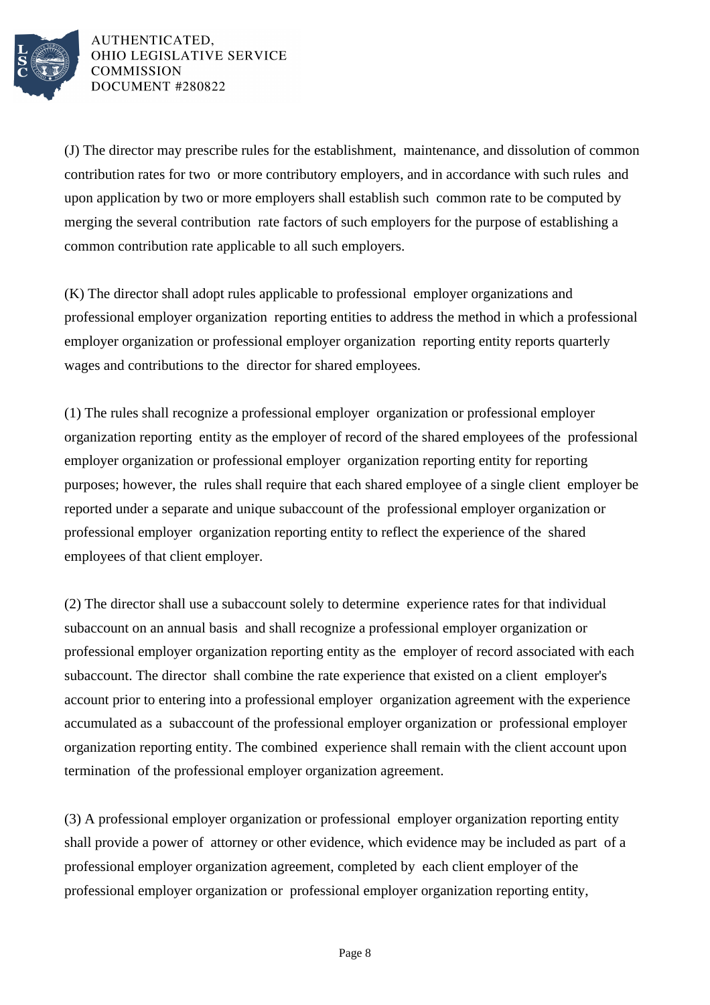

(J) The director may prescribe rules for the establishment, maintenance, and dissolution of common contribution rates for two or more contributory employers, and in accordance with such rules and upon application by two or more employers shall establish such common rate to be computed by merging the several contribution rate factors of such employers for the purpose of establishing a common contribution rate applicable to all such employers.

(K) The director shall adopt rules applicable to professional employer organizations and professional employer organization reporting entities to address the method in which a professional employer organization or professional employer organization reporting entity reports quarterly wages and contributions to the director for shared employees.

(1) The rules shall recognize a professional employer organization or professional employer organization reporting entity as the employer of record of the shared employees of the professional employer organization or professional employer organization reporting entity for reporting purposes; however, the rules shall require that each shared employee of a single client employer be reported under a separate and unique subaccount of the professional employer organization or professional employer organization reporting entity to reflect the experience of the shared employees of that client employer.

(2) The director shall use a subaccount solely to determine experience rates for that individual subaccount on an annual basis and shall recognize a professional employer organization or professional employer organization reporting entity as the employer of record associated with each subaccount. The director shall combine the rate experience that existed on a client employer's account prior to entering into a professional employer organization agreement with the experience accumulated as a subaccount of the professional employer organization or professional employer organization reporting entity. The combined experience shall remain with the client account upon termination of the professional employer organization agreement.

(3) A professional employer organization or professional employer organization reporting entity shall provide a power of attorney or other evidence, which evidence may be included as part of a professional employer organization agreement, completed by each client employer of the professional employer organization or professional employer organization reporting entity,